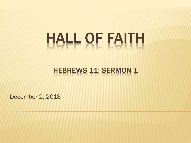# HALL OF FAITH

#### HEBREWS 11: SERMON 1

December 2, 2018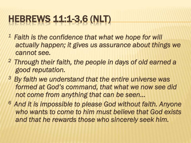#### HEBREWS 11:1-3,6 (NLT)

- *<sup>1</sup>Faith is the confidence that what we hope for will actually happen; it gives us assurance about things we cannot see.*
- *<sup>2</sup>Through their faith, the people in days of old earned a good reputation.*
- *<sup>3</sup>By faith we understand that the entire universe was formed at God's command, that what we now see did not come from anything that can be seen…*
- *<sup>6</sup>And it is impossible to please God without faith. Anyone who wants to come to him must believe that God exists and that he rewards those who sincerely seek him.*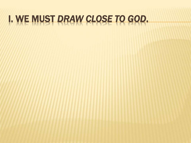### I. WE MUST *DRAW CLOSE TO GOD*.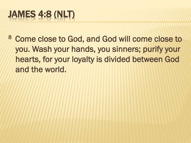# JAMES 4:8 (NLT)

<sup>8</sup> Come close to God, and God will come close to you. Wash your hands, you sinners; purify your hearts, for your loyalty is divided between God and the world.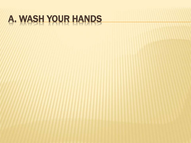# A. WASH YOUR HANDS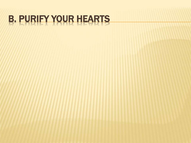# B. PURIFY YOUR HEARTS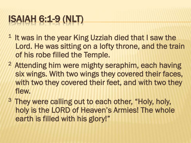### ISAIAH 6:1-9 (NLT)

- $1$  It was in the year King Uzziah died that I saw the Lord. He was sitting on a lofty throne, and the train of his robe filled the Temple.
- <sup>2</sup> Attending him were mighty seraphim, each having six wings. With two wings they covered their faces, with two they covered their feet, and with two they flew.
- <sup>3</sup> They were calling out to each other, "Holy, holy, holy is the LORD of Heaven's Armies! The whole earth is filled with his glory!"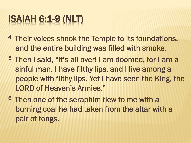### ISAIAH 6:1-9 (NLT)

- <sup>4</sup> Their voices shook the Temple to its foundations, and the entire building was filled with smoke.
- <sup>5</sup> Then I said, "It's all over! I am doomed, for I am a sinful man. I have filthy lips, and I live among a people with filthy lips. Yet I have seen the King, the LORD of Heaven's Armies."
- <sup>6</sup> Then one of the seraphim flew to me with a burning coal he had taken from the altar with a pair of tongs.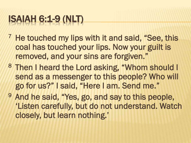#### ISAIAH 6:1-9 (NLT)

- **He touched my lips with it and said, "See, this** coal has touched your lips. Now your guilt is removed, and your sins are forgiven."
- 8 Then I heard the Lord asking, "Whom should I send as a messenger to this people? Who will go for us?" I said, "Here I am. Send me."
- <sup>9</sup> And he said, "Yes, go, and say to this people, 'Listen carefully, but do not understand. Watch closely, but learn nothing.'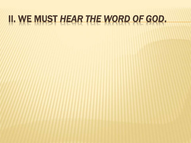#### II. WE MUST *HEAR THE WORD OF GOD*.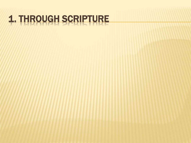# 1. THROUGH SCRIPTURE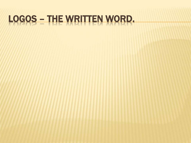# LOGOS – THE WRITTEN WORD.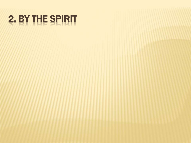# 2. BY THE SPIRIT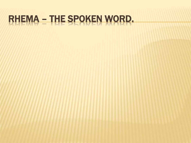# RHEMA – THE SPOKEN WORD.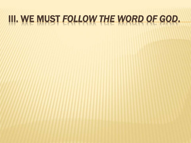#### III. WE MUST *FOLLOW THE WORD OF GOD*.